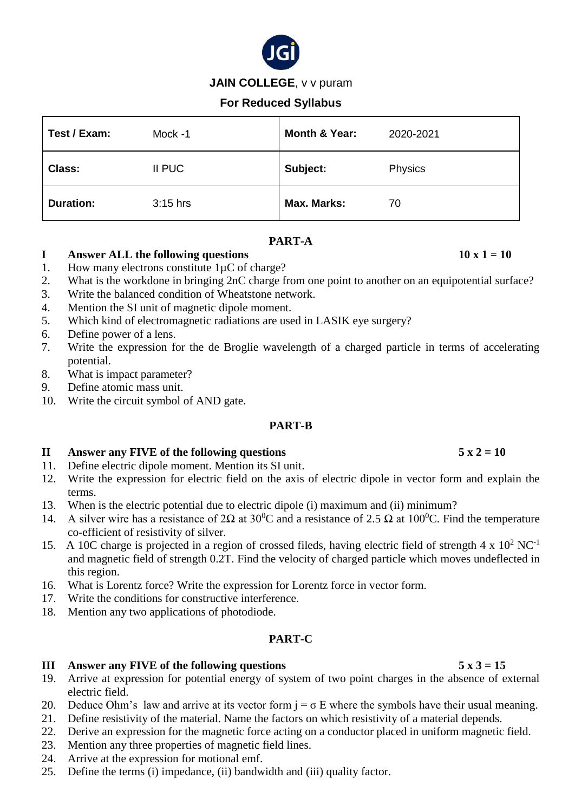

# **JAIN COLLEGE**, v v puram

# **For Reduced Syllabus**

| Test / Exam:     | Mock -1    | Month & Year: | 2020-2021 |
|------------------|------------|---------------|-----------|
| <b>Class:</b>    | II PUC     | Subject:      | Physics   |
| <b>Duration:</b> | $3:15$ hrs | Max. Marks:   | 70        |

## **PART-A**

# **I** Answer ALL the following questions  $10 \times 1 = 10$

- 1. How many electrons constitute  $1\mu$ C of charge?
- 2. What is the workdone in bringing 2nC charge from one point to another on an equipotential surface?
- 3. Write the balanced condition of Wheatstone network.
- 4. Mention the SI unit of magnetic dipole moment.
- 5. Which kind of electromagnetic radiations are used in LASIK eye surgery?
- 6. Define power of a lens.
- 7. Write the expression for the de Broglie wavelength of a charged particle in terms of accelerating potential.
- 8. What is impact parameter?
- 9. Define atomic mass unit.
- 10. Write the circuit symbol of AND gate.

### **PART-B**

## **II** Answer any FIVE of the following questions  $5 \times 2 = 10$

- 11. Define electric dipole moment. Mention its SI unit.
- 12. Write the expression for electric field on the axis of electric dipole in vector form and explain the terms.
- 13. When is the electric potential due to electric dipole (i) maximum and (ii) minimum?
- 14. A silver wire has a resistance of 2Ω at 30<sup>0</sup>C and a resistance of 2.5 Ω at 100<sup>0</sup>C. Find the temperature co-efficient of resistivity of silver.
- 15. A 10C charge is projected in a region of crossed fileds, having electric field of strength  $4 \times 10^2$  NC<sup>-1</sup> and magnetic field of strength 0.2T. Find the velocity of charged particle which moves undeflected in this region.
- 16. What is Lorentz force? Write the expression for Lorentz force in vector form.
- 17. Write the conditions for constructive interference.
- 18. Mention any two applications of photodiode.

### **PART-C**

### **III Answer any FIVE of the following questions 5 x 3 = 15**

- 19. Arrive at expression for potential energy of system of two point charges in the absence of external electric field.
- 20. Deduce Ohm's law and arrive at its vector form  $j = \sigma E$  where the symbols have their usual meaning.
- 21. Define resistivity of the material. Name the factors on which resistivity of a material depends.
- 22. Derive an expression for the magnetic force acting on a conductor placed in uniform magnetic field.
- 23. Mention any three properties of magnetic field lines.
- 24. Arrive at the expression for motional emf.
- 25. Define the terms (i) impedance, (ii) bandwidth and (iii) quality factor.